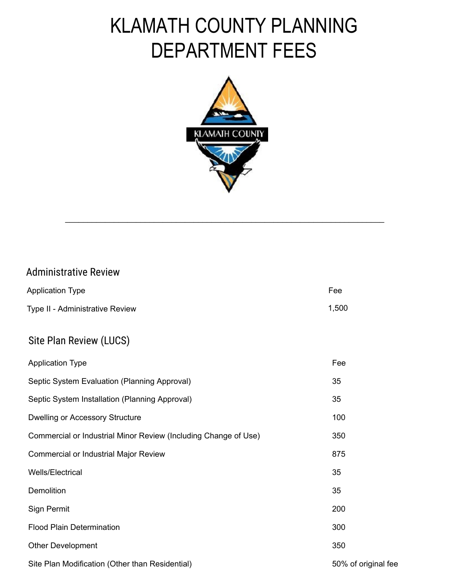# KLAMATH COUNTY PLANNING DEPARTMENT FEES



[\\_\\_\\_\\_\\_\\_\\_\\_\\_\\_\\_\\_\\_\\_\\_\\_\\_\\_\\_\\_\\_\\_\\_\\_\\_\\_\\_\\_\\_\\_\\_\\_\\_\\_\\_\\_\\_\\_\\_\\_\\_\\_\\_\\_\\_\\_\\_\\_\\_\\_\\_\\_\\_\\_\\_\\_\\_\\_\\_\\_\\_\\_\\_\\_\\_\\_\\_\\_\\_\\_\\_\\_](https://www.klamathcounty.org/DocumentCenter/View/1363)

#### Administrative Review

| <b>Application Type</b>         | Fee   |
|---------------------------------|-------|
| Type II - Administrative Review | 1.500 |

#### Site Plan Review (LUCS)

| <b>Application Type</b>                                         | Fee                 |
|-----------------------------------------------------------------|---------------------|
| Septic System Evaluation (Planning Approval)                    | 35                  |
| Septic System Installation (Planning Approval)                  | 35                  |
| <b>Dwelling or Accessory Structure</b>                          | 100                 |
| Commercial or Industrial Minor Review (Including Change of Use) | 350                 |
| <b>Commercial or Industrial Major Review</b>                    | 875                 |
| <b>Wells/Electrical</b>                                         | 35                  |
| <b>Demolition</b>                                               | 35                  |
| Sign Permit                                                     | 200                 |
| <b>Flood Plain Determination</b>                                | 300                 |
| <b>Other Development</b>                                        | 350                 |
| Site Plan Modification (Other than Residential)                 | 50% of original fee |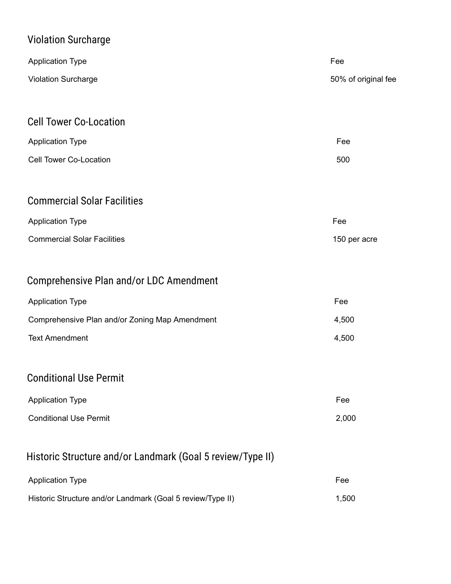# Violation Surcharge

| <b>Application Type</b>                        | Fee                 |
|------------------------------------------------|---------------------|
|                                                |                     |
| <b>Violation Surcharge</b>                     | 50% of original fee |
|                                                |                     |
| <b>Cell Tower Co-Location</b>                  |                     |
| <b>Application Type</b>                        | Fee                 |
| <b>Cell Tower Co-Location</b>                  | 500                 |
|                                                |                     |
| <b>Commercial Solar Facilities</b>             |                     |
| <b>Application Type</b>                        | Fee                 |
| <b>Commercial Solar Facilities</b>             | 150 per acre        |
|                                                |                     |
| Comprehensive Plan and/or LDC Amendment        |                     |
| <b>Application Type</b>                        | Fee                 |
| Comprehensive Plan and/or Zoning Map Amendment | 4,500               |
| <b>Text Amendment</b>                          | 4,500               |
|                                                |                     |
| <b>Conditional Use Permit</b>                  |                     |
| <b>Application Type</b>                        | Fee                 |

**Conditional Use Permit** 2,000

#### Historic Structure and/or Landmark (Goal 5 review/Type II)

| <b>Application Type</b>                                    | Fee   |
|------------------------------------------------------------|-------|
| Historic Structure and/or Landmark (Goal 5 review/Type II) | 1.500 |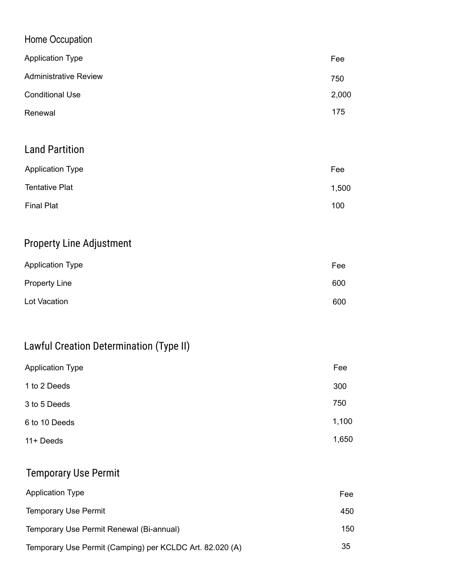| Home Occupation              |       |
|------------------------------|-------|
| <b>Application Type</b>      | Fee   |
| <b>Administrative Review</b> | 750   |
| <b>Conditional Use</b>       | 2,000 |
| Renewal                      | 175   |
|                              |       |
| <b>Land Partition</b>        |       |
| <b>Application Type</b>      | Fee   |
| <b>Tentative Plat</b>        | 1,500 |
| <b>Final Plat</b>            | 100   |

### Property Line Adjustment

| <b>Application Type</b> | Fee |
|-------------------------|-----|
| <b>Property Line</b>    | 600 |
| Lot Vacation            | 600 |

# Lawful Creation Determination (Type II)

| <b>Application Type</b> | Fee   |
|-------------------------|-------|
| 1 to 2 Deeds            | 300   |
| 3 to 5 Deeds            | 750   |
| 6 to 10 Deeds           | 1,100 |
| 11+ Deeds               | 1,650 |

#### Temporary Use Permit

| <b>Application Type</b>                                  | Fee |
|----------------------------------------------------------|-----|
| <b>Temporary Use Permit</b>                              | 450 |
| Temporary Use Permit Renewal (Bi-annual)                 | 150 |
| Temporary Use Permit (Camping) per KCLDC Art. 82.020 (A) | 35  |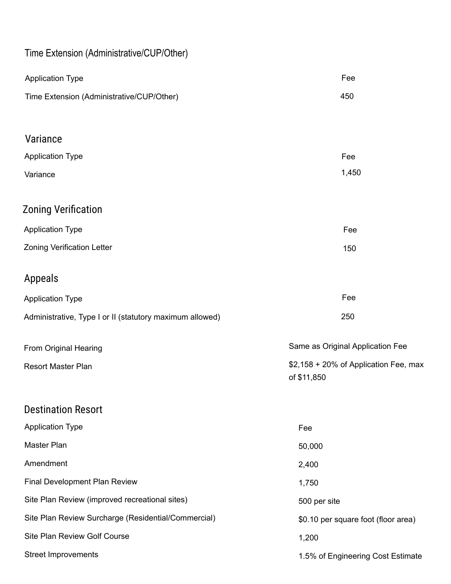### Time Extension (Administrative/CUP/Other)

| <b>Application Type</b>                                  | Fee                                                  |
|----------------------------------------------------------|------------------------------------------------------|
| Time Extension (Administrative/CUP/Other)                | 450                                                  |
|                                                          |                                                      |
| Variance                                                 |                                                      |
| <b>Application Type</b>                                  | Fee                                                  |
| Variance                                                 | 1,450                                                |
| <b>Zoning Verification</b>                               |                                                      |
| <b>Application Type</b>                                  | Fee                                                  |
| <b>Zoning Verification Letter</b>                        | 150                                                  |
| <b>Appeals</b>                                           |                                                      |
| <b>Application Type</b>                                  | Fee                                                  |
| Administrative, Type I or II (statutory maximum allowed) | 250                                                  |
| From Original Hearing                                    | Same as Original Application Fee                     |
| <b>Resort Master Plan</b>                                | \$2,158 + 20% of Application Fee, max<br>of \$11,850 |
| <b>Destination Resort</b>                                |                                                      |
| <b>Application Type</b>                                  | Fee                                                  |
| Master Plan                                              | 50,000                                               |
| Amendment                                                | 2,400                                                |
| Final Development Plan Review                            | 1,750                                                |
| Site Plan Review (improved recreational sites)           | 500 per site                                         |
| Site Plan Review Surcharge (Residential/Commercial)      | \$0.10 per square foot (floor area)                  |
| Site Plan Review Golf Course                             | 1,200                                                |
| <b>Street Improvements</b>                               | 1.5% of Engineering Cost Estimate                    |